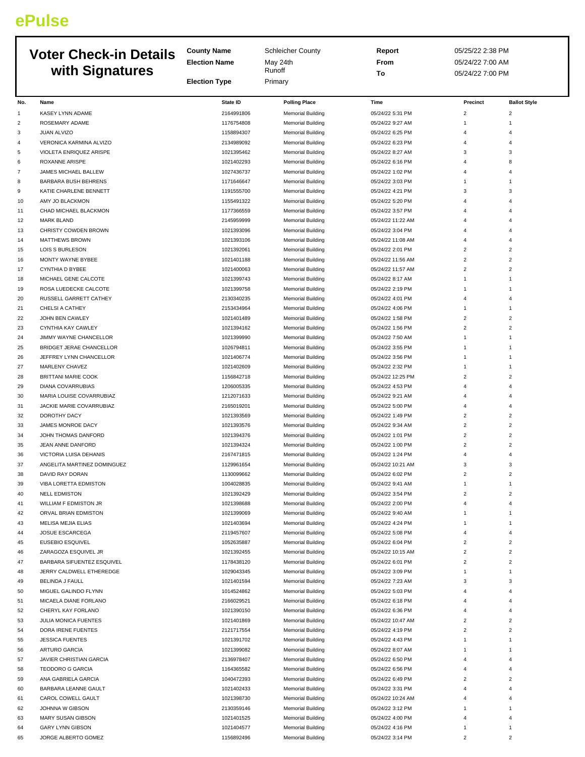## **ePulse**

| <b>Voter Check-in Details</b><br>with Signatures |                                               | <b>County Name</b><br><b>Election Name</b><br><b>Election Type</b> | <b>Schleicher County</b><br>May 24th<br>Runoff<br>Primary | Report<br>From<br>To                 | 05/25/22 2:38 PM<br>05/24/22 7:00 AM<br>05/24/22 7:00 PM |                                  |  |
|--------------------------------------------------|-----------------------------------------------|--------------------------------------------------------------------|-----------------------------------------------------------|--------------------------------------|----------------------------------------------------------|----------------------------------|--|
|                                                  |                                               |                                                                    |                                                           |                                      |                                                          |                                  |  |
| No.                                              | Name                                          | <b>State ID</b>                                                    | <b>Polling Place</b>                                      | Time                                 | Precinct                                                 | <b>Ballot Style</b>              |  |
| 1                                                | <b>KASEY LYNN ADAME</b>                       | 2164991806                                                         | <b>Memorial Building</b>                                  | 05/24/22 5:31 PM                     | $\overline{c}$                                           | $\overline{c}$                   |  |
| $\overline{2}$                                   | ROSEMARY ADAME                                | 1176754808                                                         | <b>Memorial Building</b>                                  | 05/24/22 9:27 AM                     | $\mathbf{1}$                                             | 1                                |  |
| 3                                                | JUAN ALVIZO                                   | 1158894307                                                         | <b>Memorial Building</b>                                  | 05/24/22 6:25 PM                     | 4                                                        | 4                                |  |
| $\overline{4}$                                   | VERONICA KARMINA ALVIZO                       | 2134989092                                                         | <b>Memorial Building</b>                                  | 05/24/22 6:23 PM                     | 4                                                        | $\overline{4}$                   |  |
| 5                                                | VIOLETA ENRIQUEZ ARISPE                       | 1021395462                                                         | <b>Memorial Building</b>                                  | 05/24/22 8:27 AM                     | 3                                                        | 3<br>8                           |  |
| 6<br>$\overline{7}$                              | ROXANNE ARISPE<br><b>JAMES MICHAEL BALLEW</b> | 1021402293<br>1027436737                                           | <b>Memorial Building</b><br><b>Memorial Building</b>      | 05/24/22 6:16 PM<br>05/24/22 1:02 PM | 4<br>4                                                   | $\overline{4}$                   |  |
| 8                                                | BARBARA BUSH BEHRENS                          | 1171646647                                                         | <b>Memorial Building</b>                                  | 05/24/22 3:03 PM                     | $\mathbf{1}$                                             | $\mathbf{1}$                     |  |
| 9                                                | KATIE CHARLENE BENNETT                        | 1191555700                                                         | <b>Memorial Building</b>                                  | 05/24/22 4:21 PM                     | 3                                                        | 3                                |  |
| 10                                               | AMY JO BLACKMON                               | 1155491322                                                         | <b>Memorial Building</b>                                  | 05/24/22 5:20 PM                     | 4                                                        | $\Delta$                         |  |
| 11                                               | CHAD MICHAEL BLACKMON                         | 1177366559                                                         | <b>Memorial Building</b>                                  | 05/24/22 3:57 PM                     | 4                                                        | 4                                |  |
| 12                                               | <b>MARK BLAND</b>                             | 2145959999                                                         | <b>Memorial Building</b>                                  | 05/24/22 11:22 AM                    | 4                                                        | $\overline{4}$                   |  |
| 13                                               | CHRISTY COWDEN BROWN                          | 1021393096                                                         | <b>Memorial Building</b>                                  | 05/24/22 3:04 PM                     | 4                                                        | 4                                |  |
| 14                                               | <b>MATTHEWS BROWN</b>                         | 1021393106                                                         | <b>Memorial Building</b>                                  | 05/24/22 11:08 AM                    | 4                                                        | $\overline{4}$                   |  |
| 15                                               | LOIS S BURLESON                               | 1021392061                                                         | <b>Memorial Building</b>                                  | 05/24/22 2:01 PM                     | $\overline{\phantom{a}}$                                 | $\overline{2}$                   |  |
| 16                                               | MONTY WAYNE BYBEE                             | 1021401188                                                         | <b>Memorial Building</b>                                  | 05/24/22 11:56 AM                    | $\overline{c}$                                           | $\overline{2}$                   |  |
| 17                                               | <b>CYNTHIA D BYBEE</b>                        | 1021400063                                                         | <b>Memorial Building</b>                                  | 05/24/22 11:57 AM                    | $\overline{c}$                                           | $\overline{2}$                   |  |
| 18                                               | MICHAEL GENE CALCOTE                          | 1021399743                                                         | <b>Memorial Building</b>                                  | 05/24/22 8:17 AM                     | 1                                                        | 1                                |  |
| 19                                               | ROSA LUEDECKE CALCOTE                         | 1021399758<br>2130340235                                           | <b>Memorial Building</b>                                  | 05/24/22 2:19 PM<br>05/24/22 4:01 PM | $1\,$<br>4                                               | 1<br>$\overline{4}$              |  |
| 20<br>21                                         | RUSSELL GARRETT CATHEY<br>CHELSI A CATHEY     | 2153434964                                                         | <b>Memorial Building</b><br><b>Memorial Building</b>      | 05/24/22 4:06 PM                     | 1                                                        | 1                                |  |
| 22                                               | JOHN BEN CAWLEY                               | 1021401489                                                         | <b>Memorial Building</b>                                  | 05/24/22 1:58 PM                     | $\overline{c}$                                           | $\overline{2}$                   |  |
| 23                                               | CYNTHIA KAY CAWLEY                            | 1021394162                                                         | <b>Memorial Building</b>                                  | 05/24/22 1:56 PM                     | $\overline{c}$                                           | $\overline{2}$                   |  |
| 24                                               | JIMMY WAYNE CHANCELLOR                        | 1021399990                                                         | <b>Memorial Building</b>                                  | 05/24/22 7:50 AM                     | $\mathbf{1}$                                             | 1                                |  |
| 25                                               | BRIDGET JERAE CHANCELLOR                      | 1026794811                                                         | <b>Memorial Building</b>                                  | 05/24/22 3:55 PM                     | 1                                                        | 1                                |  |
| 26                                               | JEFFREY LYNN CHANCELLOR                       | 1021406774                                                         | <b>Memorial Building</b>                                  | 05/24/22 3:56 PM                     | $1\,$                                                    | 1                                |  |
| 27                                               | MARLENY CHAVEZ                                | 1021402609                                                         | <b>Memorial Building</b>                                  | 05/24/22 2:32 PM                     | $1\,$                                                    | 1                                |  |
| 28                                               | <b>BRITTANI MARIE COOK</b>                    | 1156842718                                                         | <b>Memorial Building</b>                                  | 05/24/22 12:25 PM                    | $\overline{c}$                                           | $\overline{2}$                   |  |
| 29                                               | DIANA COVARRUBIAS                             | 1206005335                                                         | <b>Memorial Building</b>                                  | 05/24/22 4:53 PM                     | 4                                                        | $\overline{4}$                   |  |
| 30                                               | MARIA LOUISE COVARRUBIAZ                      | 1212071633                                                         | <b>Memorial Building</b>                                  | 05/24/22 9:21 AM                     | 4                                                        | 4                                |  |
| 31                                               | JACKIE MARIE COVARRUBIAZ                      | 2165019201                                                         | <b>Memorial Building</b>                                  | 05/24/22 5:00 PM                     | 4                                                        | $\overline{4}$                   |  |
| 32                                               | DOROTHY DACY                                  | 1021393569                                                         | <b>Memorial Building</b>                                  | 05/24/22 1:49 PM                     | $\overline{\phantom{a}}$                                 | $\overline{2}$                   |  |
| 33                                               | JAMES MONROE DACY                             | 1021393576                                                         | <b>Memorial Building</b>                                  | 05/24/22 9:34 AM                     | $\overline{c}$                                           | $\overline{c}$                   |  |
| 34                                               | JOHN THOMAS DANFORD                           | 1021394376                                                         | <b>Memorial Building</b>                                  | 05/24/22 1:01 PM                     | $\overline{c}$                                           | $\overline{2}$                   |  |
| 35                                               | JEAN ANNE DANFORD<br>VICTORIA LUISA DEHANIS   | 1021394324<br>2167471815                                           | <b>Memorial Building</b>                                  | 05/24/22 1:00 PM<br>05/24/22 1:24 PM | $\overline{\phantom{a}}$<br>4                            | $\overline{2}$<br>$\Delta$       |  |
| 36<br>37                                         | ANGELITA MARTINEZ DOMINGUEZ                   | 1129961654                                                         | <b>Memorial Building</b><br><b>Memorial Building</b>      | 05/24/22 10:21 AM                    | 3                                                        | 3                                |  |
| 38                                               | DAVID RAY DORAN                               | 1130099662                                                         | <b>Memorial Building</b>                                  | 05/24/22 6:02 PM                     | $\overline{c}$                                           | $\overline{2}$                   |  |
| 39                                               | VIBA LORETTA EDMISTON                         | 1004028835                                                         | <b>Memorial Building</b>                                  | 05/24/22 9:41 AM                     | $\mathbf{1}$                                             | $\mathbf{1}$                     |  |
| 40                                               | <b>NELL EDMISTON</b>                          | 1021392429                                                         | <b>Memorial Building</b>                                  | 05/24/22 3:54 PM                     | $\overline{c}$                                           | $\overline{2}$                   |  |
| 41                                               | WILLIAM F EDMISTON JR                         | 1021398688                                                         | <b>Memorial Building</b>                                  | 05/24/22 2:00 PM                     | 4                                                        | $\overline{4}$                   |  |
| 42                                               | ORVAL BRIAN EDMISTON                          | 1021399069                                                         | <b>Memorial Building</b>                                  | 05/24/22 9:40 AM                     | 1                                                        | 1                                |  |
| 43                                               | MELISA MEJIA ELIAS                            | 1021403694                                                         | <b>Memorial Building</b>                                  | 05/24/22 4:24 PM                     | 1                                                        | $\mathbf{1}$                     |  |
| 44                                               | JOSUE ESCARCEGA                               | 2119457607                                                         | <b>Memorial Building</b>                                  | 05/24/22 5:08 PM                     | 4                                                        | $\overline{4}$                   |  |
| 45                                               | EUSEBIO ESQUIVEL                              | 1052635887                                                         | <b>Memorial Building</b>                                  | 05/24/22 6:04 PM                     | $\overline{c}$                                           | 2                                |  |
| 46                                               | ZARAGOZA ESQUIVEL JR                          | 1021392455                                                         | <b>Memorial Building</b>                                  | 05/24/22 10:15 AM                    | $\overline{c}$                                           | $\overline{2}$                   |  |
| 47                                               | BARBARA SIFUENTEZ ESQUIVEL                    | 1178438120                                                         | <b>Memorial Building</b>                                  | 05/24/22 6:01 PM                     | $\overline{c}$                                           | $\overline{2}$                   |  |
| 48                                               | JERRY CALDWELL ETHEREDGE                      | 1029043345                                                         | <b>Memorial Building</b>                                  | 05/24/22 3:09 PM                     | 1                                                        | $\mathbf{1}$                     |  |
| 49                                               | <b>BELINDA J FAULL</b>                        | 1021401594                                                         | <b>Memorial Building</b>                                  | 05/24/22 7:23 AM                     | 3                                                        | 3                                |  |
| 50                                               | MIGUEL GALINDO FLYNN                          | 1014524862                                                         | <b>Memorial Building</b>                                  | 05/24/22 5:03 PM                     | 4                                                        | $\overline{4}$                   |  |
| 51                                               | MICAELA DIANE FORLANO<br>CHERYL KAY FORLANO   | 2166029521<br>1021390150                                           | <b>Memorial Building</b>                                  | 05/24/22 6:18 PM<br>05/24/22 6:36 PM | 4<br>4                                                   | $\overline{4}$<br>$\overline{4}$ |  |
| 52<br>53                                         | JULIA MONICA FUENTES                          | 1021401869                                                         | <b>Memorial Building</b><br><b>Memorial Building</b>      | 05/24/22 10:47 AM                    | $\overline{c}$                                           | $\overline{2}$                   |  |
| 54                                               | DORA IRENE FUENTES                            | 2121717554                                                         | <b>Memorial Building</b>                                  | 05/24/22 4:19 PM                     | $\overline{c}$                                           | $\overline{2}$                   |  |
| 55                                               | <b>JESSICA FUENTES</b>                        | 1021391702                                                         | <b>Memorial Building</b>                                  | 05/24/22 4:43 PM                     | $1\,$                                                    | 1                                |  |
| 56                                               | ARTURO GARCIA                                 | 1021399082                                                         | <b>Memorial Building</b>                                  | 05/24/22 8:07 AM                     | 1                                                        | $\mathbf{1}$                     |  |
| 57                                               | JAVIER CHRISTIAN GARCIA                       | 2136978407                                                         | <b>Memorial Building</b>                                  | 05/24/22 6:50 PM                     | 4                                                        | $\overline{4}$                   |  |
| 58                                               | <b>TEODORO G GARCIA</b>                       | 1164365582                                                         | <b>Memorial Building</b>                                  | 05/24/22 6:56 PM                     | 4                                                        | $\overline{4}$                   |  |
| 59                                               | ANA GABRIELA GARCIA                           | 1040472393                                                         | <b>Memorial Building</b>                                  | 05/24/22 6:49 PM                     | $\overline{c}$                                           | $\overline{2}$                   |  |
| 60                                               | BARBARA LEANNE GAULT                          | 1021402433                                                         | <b>Memorial Building</b>                                  | 05/24/22 3:31 PM                     | 4                                                        | $\overline{4}$                   |  |
| 61                                               | CAROL COWELL GAULT                            | 1021398730                                                         | <b>Memorial Building</b>                                  | 05/24/22 10:24 AM                    | 4                                                        | $\overline{4}$                   |  |
| 62                                               | JOHNNA W GIBSON                               | 2130359146                                                         | <b>Memorial Building</b>                                  | 05/24/22 3:12 PM                     | $\mathbf{1}$                                             | 1                                |  |
| 63                                               | MARY SUSAN GIBSON                             | 1021401525                                                         | <b>Memorial Building</b>                                  | 05/24/22 4:00 PM                     | 4                                                        | $\overline{4}$                   |  |
| 64                                               | <b>GARY LYNN GIBSON</b>                       | 1021404577                                                         | <b>Memorial Building</b>                                  | 05/24/22 4:16 PM                     | 1                                                        | $\mathbf{1}$                     |  |
| 65                                               | JORGE ALBERTO GOMEZ                           | 1156892496                                                         | <b>Memorial Building</b>                                  | 05/24/22 3:14 PM                     | $\overline{c}$                                           | $\overline{2}$                   |  |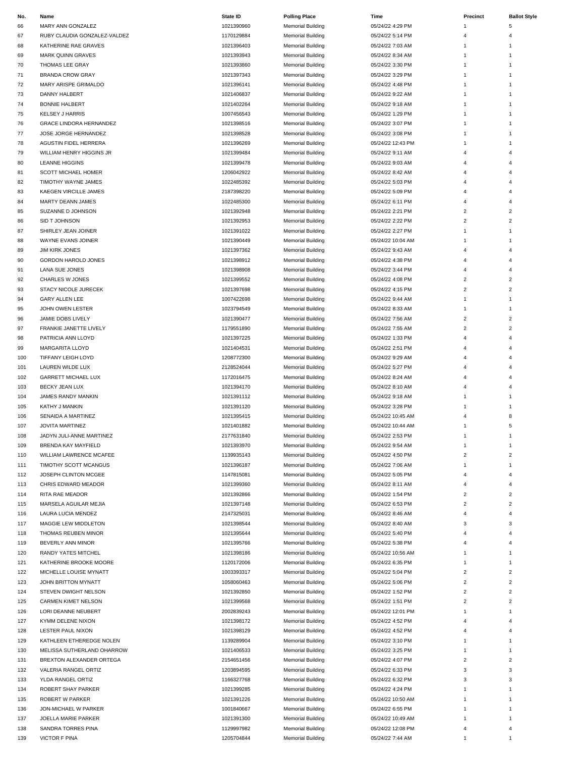| No. | Name                           | State ID   | <b>Polling Place</b>     | Time              | Precinct                | <b>Ballot Style</b> |
|-----|--------------------------------|------------|--------------------------|-------------------|-------------------------|---------------------|
| 66  | MARY ANN GONZALEZ              | 1021390960 | <b>Memorial Building</b> | 05/24/22 4:29 PM  | 1                       | 5                   |
| 67  | RUBY CLAUDIA GONZALEZ-VALDEZ   | 1170129884 | <b>Memorial Building</b> | 05/24/22 5:14 PM  | $\overline{4}$          | 4                   |
|     | KATHERINE RAE GRAVES           |            |                          | 05/24/22 7:03 AM  | 1                       |                     |
| 68  |                                | 1021396403 | <b>Memorial Building</b> |                   |                         | 1                   |
| 69  | <b>MARK QUINN GRAVES</b>       | 1021393943 | <b>Memorial Building</b> | 05/24/22 8:34 AM  | $\mathbf{1}$            | $\mathbf{1}$        |
| 70  | THOMAS LEE GRAY                | 1021393860 | <b>Memorial Building</b> | 05/24/22 3:30 PM  | $\mathbf{1}$            | $\mathbf{1}$        |
| 71  | <b>BRANDA CROW GRAY</b>        | 1021397343 | <b>Memorial Building</b> | 05/24/22 3:29 PM  | 1                       | 1                   |
| 72  | MARY ARISPE GRIMALDO           | 1021396141 | <b>Memorial Building</b> | 05/24/22 4:48 PM  | $\mathbf{1}$            | 1                   |
| 73  | DANNY HALBERT                  | 1021406837 | <b>Memorial Building</b> | 05/24/22 9:22 AM  | 1                       | 1                   |
| 74  | <b>BONNIE HALBERT</b>          | 1021402264 | <b>Memorial Building</b> | 05/24/22 9:18 AM  | 1                       | 1                   |
| 75  | <b>KELSEY J HARRIS</b>         | 1007456543 | <b>Memorial Building</b> | 05/24/22 1:29 PM  | 1                       | 1                   |
| 76  | <b>GRACE LINDORA HERNANDEZ</b> | 1021398516 | <b>Memorial Building</b> | 05/24/22 3:07 PM  | 1                       | $1\,$               |
| 77  | JOSE JORGE HERNANDEZ           | 1021398528 | <b>Memorial Building</b> | 05/24/22 3:08 PM  | $\mathbf{1}$            | 1                   |
|     |                                |            |                          |                   |                         |                     |
| 78  | <b>AGUSTIN FIDEL HERRERA</b>   | 1021396269 | <b>Memorial Building</b> | 05/24/22 12:43 PM | 1                       | $\mathbf{1}$        |
| 79  | WILLIAM HENRY HIGGINS JR       | 1021399484 | <b>Memorial Building</b> | 05/24/22 9:11 AM  | 4                       | 4                   |
| 80  | <b>LEANNE HIGGINS</b>          | 1021399478 | <b>Memorial Building</b> | 05/24/22 9:03 AM  | 4                       | 4                   |
| 81  | <b>SCOTT MICHAEL HOMER</b>     | 1206042922 | <b>Memorial Building</b> | 05/24/22 8:42 AM  | Δ                       | 4                   |
| 82  | TIMOTHY WAYNE JAMES            | 1022485392 | <b>Memorial Building</b> | 05/24/22 5:03 PM  | 4                       | 4                   |
| 83  | KAEGEN VIRCILLE JAMES          | 2187398220 | <b>Memorial Building</b> | 05/24/22 5:09 PM  | 4                       | 4                   |
| 84  | <b>MARTY DEANN JAMES</b>       | 1022485300 | <b>Memorial Building</b> | 05/24/22 6:11 PM  | 4                       | 4                   |
| 85  | SUZANNE D JOHNSON              | 1021392948 | <b>Memorial Building</b> | 05/24/22 2:21 PM  | 2                       | $\overline{c}$      |
|     |                                | 1021392953 |                          | 05/24/22 2:22 PM  | $\overline{c}$          | $\overline{c}$      |
| 86  | SID T JOHNSON                  |            | <b>Memorial Building</b> |                   |                         |                     |
| 87  | SHIRLEY JEAN JOINER            | 1021391022 | <b>Memorial Building</b> | 05/24/22 2:27 PM  | 1                       | $\mathbf{1}$        |
| 88  | WAYNE EVANS JOINER             | 1021390449 | <b>Memorial Building</b> | 05/24/22 10:04 AM | 1                       | $\mathbf{1}$        |
| 89  | <b>JIM KIRK JONES</b>          | 1021397362 | <b>Memorial Building</b> | 05/24/22 9:43 AM  | 4                       | 4                   |
| 90  | <b>GORDON HAROLD JONES</b>     | 1021398912 | <b>Memorial Building</b> | 05/24/22 4:38 PM  | 4                       | 4                   |
| 91  | LANA SUE JONES                 | 1021398908 | <b>Memorial Building</b> | 05/24/22 3:44 PM  | 4                       | 4                   |
| 92  | CHARLES W JONES                | 1021399552 | <b>Memorial Building</b> | 05/24/22 4:08 PM  | 2                       | $\overline{c}$      |
| 93  | STACY NICOLE JURECEK           | 1021397698 | <b>Memorial Building</b> | 05/24/22 4:15 PM  | $\overline{c}$          | 2                   |
|     |                                |            |                          |                   |                         |                     |
| 94  | <b>GARY ALLEN LEE</b>          | 1007422698 | <b>Memorial Building</b> | 05/24/22 9:44 AM  | 1                       | $\mathbf{1}$        |
| 95  | JOHN OWEN LESTER               | 1023794549 | <b>Memorial Building</b> | 05/24/22 8:33 AM  | 1                       | 1                   |
| 96  | JAMIE DOBS LIVELY              | 1021390477 | <b>Memorial Building</b> | 05/24/22 7:56 AM  | $\overline{\mathbf{c}}$ | $\overline{c}$      |
| 97  | FRANKIE JANETTE LIVELY         | 1179551890 | <b>Memorial Building</b> | 05/24/22 7:55 AM  | $\overline{c}$          | $\overline{c}$      |
| 98  | PATRICIA ANN LLOYD             | 1021397225 | <b>Memorial Building</b> | 05/24/22 1:33 PM  | 4                       | 4                   |
| 99  | <b>MARGARITA LLOYD</b>         | 1021404531 | <b>Memorial Building</b> | 05/24/22 2:51 PM  | 4                       | 4                   |
| 100 | <b>TIFFANY LEIGH LOYD</b>      | 1208772300 | <b>Memorial Building</b> | 05/24/22 9:29 AM  | $\pmb{\mathcal{L}}$     | 4                   |
| 101 | LAUREN WILDE LUX               | 2128524044 | <b>Memorial Building</b> | 05/24/22 5:27 PM  | 4                       | 4                   |
|     |                                |            |                          |                   |                         |                     |
| 102 | <b>GARRETT MICHAEL LUX</b>     | 1172016475 | <b>Memorial Building</b> | 05/24/22 8:24 AM  | 4                       | 4                   |
| 103 | <b>BECKY JEAN LUX</b>          | 1021394170 | <b>Memorial Building</b> | 05/24/22 8:10 AM  | $\overline{4}$          | 4                   |
| 104 | JAMES RANDY MANKIN             | 1021391112 | <b>Memorial Building</b> | 05/24/22 9:18 AM  | $\mathbf{1}$            | $\mathbf{1}$        |
| 105 | KATHY J MANKIN                 | 1021391120 | <b>Memorial Building</b> | 05/24/22 3:28 PM  | 1                       | $\mathbf{1}$        |
| 106 | SENAIDA A MARTINEZ             | 1021395415 | <b>Memorial Building</b> | 05/24/22 10:45 AM | 4                       | 8                   |
| 107 | <b>JOVITA MARTINEZ</b>         | 1021401882 | <b>Memorial Building</b> | 05/24/22 10:44 AM | 1                       | 5                   |
| 108 | JADYN JULI-ANNE MARTINEZ       | 2177631840 | <b>Memorial Building</b> | 05/24/22 2:53 PM  | $\mathbf{1}$            | $\mathbf{1}$        |
| 109 | BRENDA KAY MAYFIELD            | 1021393970 | <b>Memorial Building</b> | 05/24/22 9:54 AM  | 1                       | $1\,$               |
|     |                                |            |                          |                   |                         | $\overline{c}$      |
| 110 | WILLIAM LAWRENCE MCAFEE        | 1139935143 | <b>Memorial Building</b> | 05/24/22 4:50 PM  | $\overline{c}$          |                     |
| 111 | TIMOTHY SCOTT MCANGUS          | 1021396187 | <b>Memorial Building</b> | 05/24/22 7:06 AM  | 1                       | 1                   |
| 112 | JOSEPH CLINTON MCGEE           | 1147815081 | <b>Memorial Building</b> | 05/24/22 5:05 PM  | 4                       | 4                   |
| 113 | CHRIS EDWARD MEADOR            | 1021399360 | <b>Memorial Building</b> | 05/24/22 8:11 AM  | 4                       | 4                   |
| 114 | RITA RAE MEADOR                | 1021392866 | <b>Memorial Building</b> | 05/24/22 1:54 PM  | 2                       | 2                   |
| 115 | MARSELA AGUILAR MEJIA          | 1021397148 | <b>Memorial Building</b> | 05/24/22 6:53 PM  | 2                       | 2                   |
| 116 | LAURA LUCIA MENDEZ             | 2147325031 | <b>Memorial Building</b> | 05/24/22 8:46 AM  | 4                       | 4                   |
| 117 | MAGGIE LEW MIDDLETON           | 1021398544 | <b>Memorial Building</b> | 05/24/22 8:40 AM  | 3                       | 3                   |
|     |                                |            |                          |                   |                         |                     |
| 118 | THOMAS REUBEN MINOR            | 1021395644 | <b>Memorial Building</b> | 05/24/22 5:40 PM  | 4                       | 4                   |
| 119 | BEVERLY ANN MINOR              | 1021395766 | <b>Memorial Building</b> | 05/24/22 5:38 PM  | 4                       | 4                   |
| 120 | RANDY YATES MITCHEL            | 1021398186 | <b>Memorial Building</b> | 05/24/22 10:56 AM | $\mathbf{1}$            | 1                   |
| 121 | KATHERINE BROOKE MOORE         | 1120172006 | <b>Memorial Building</b> | 05/24/22 6:35 PM  | 1                       | 1                   |
| 122 | MICHELLE LOUISE MYNATT         | 1003393317 | <b>Memorial Building</b> | 05/24/22 5:04 PM  | $\overline{c}$          | $\overline{c}$      |
| 123 | JOHN BRITTON MYNATT            | 1058060463 | <b>Memorial Building</b> | 05/24/22 5:06 PM  | 2                       | $\overline{c}$      |
| 124 | STEVEN DWIGHT NELSON           | 1021392850 | <b>Memorial Building</b> | 05/24/22 1:52 PM  | $\overline{c}$          | $\overline{c}$      |
|     |                                |            |                          |                   |                         | $\overline{c}$      |
| 125 | <b>CARMEN KIMET NELSON</b>     | 1021399568 | <b>Memorial Building</b> | 05/24/22 1:51 PM  | $\overline{c}$          |                     |
| 126 | LORI DEANNE NEUBERT            | 2002839243 | <b>Memorial Building</b> | 05/24/22 12:01 PM | 1                       | $\mathbf{1}$        |
| 127 | KYMM DELENE NIXON              | 1021398172 | <b>Memorial Building</b> | 05/24/22 4:52 PM  | 4                       | 4                   |
| 128 | LESTER PAUL NIXON              | 1021398129 | <b>Memorial Building</b> | 05/24/22 4:52 PM  | 4                       | 4                   |
| 129 | KATHLEEN ETHEREDGE NOLEN       | 1139289904 | <b>Memorial Building</b> | 05/24/22 3:10 PM  | 1                       | $\mathbf{1}$        |
| 130 | MELISSA SUTHERLAND OHARROW     | 1021406533 | <b>Memorial Building</b> | 05/24/22 3:25 PM  | $\mathbf{1}$            | 1                   |
| 131 | BREXTON ALEXANDER ORTEGA       | 2154651456 | <b>Memorial Building</b> | 05/24/22 4:07 PM  | $\overline{c}$          | $\overline{c}$      |
| 132 | VALERIA RANGEL ORTIZ           | 1203894595 | <b>Memorial Building</b> | 05/24/22 6:33 PM  | 3                       | 3                   |
|     |                                |            |                          |                   | 3                       | 3                   |
| 133 | YLDA RANGEL ORTIZ              | 1166327768 | <b>Memorial Building</b> | 05/24/22 6:32 PM  |                         |                     |
| 134 | ROBERT SHAY PARKER             | 1021399285 | <b>Memorial Building</b> | 05/24/22 4:24 PM  | $\mathbf{1}$            | 1                   |
| 135 | <b>ROBERT W PARKER</b>         | 1021391226 | <b>Memorial Building</b> | 05/24/22 10:50 AM | $\mathbf{1}$            | 1                   |
| 136 | JON-MICHAEL W PARKER           | 1001840667 | <b>Memorial Building</b> | 05/24/22 6:55 PM  | $\mathbf{1}$            | $1\,$               |
| 137 | JOELLA MARIE PARKER            | 1021391300 | <b>Memorial Building</b> | 05/24/22 10:49 AM | $\mathbf{1}$            | $\mathbf{1}$        |
| 138 | SANDRA TORRES PINA             | 1129997982 | <b>Memorial Building</b> | 05/24/22 12:08 PM | 4                       | 4                   |
| 139 | <b>VICTOR F PINA</b>           | 1205704844 | <b>Memorial Building</b> | 05/24/22 7:44 AM  | $\mathbf{1}$            |                     |